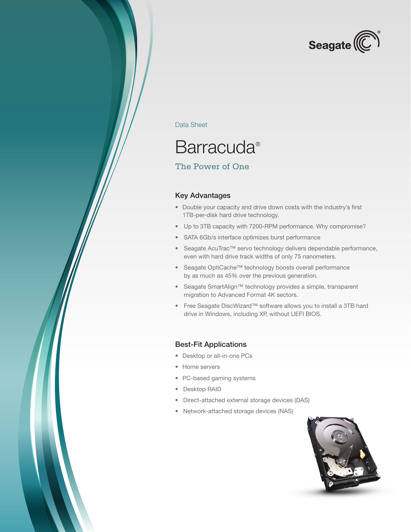

Data Sheet

## **Barracuda®**

### The Power of One

#### Key Advantages

- • Double your capacity and drive down costs with the industry's first 1TB-per-disk hard drive technology.
- • Up to 3TB capacity with 7200-RPM performance. Why compromise?
- SATA 6Gb/s interface optimizes burst performance
- • Seagate AcuTrac™ servo technology delivers dependable performance, even with hard drive track widths of only 75 nanometers.
- • Seagate OptiCache™ technology boosts overall performance by as much as 45% over the previous generation.
- • Seagate SmartAlign™ technology provides a simple, transparent migration to Advanced Format 4K sectors.
- • Free Seagate DiscWizard™ software allows you to install a 3TB hard drive in Windows, including XP, without UEFI BIOS.

#### Best-Fit Applications

- • Desktop or all-in-one PCs
- Home servers
- • PC-based gaming systems
- • Desktop RAID
- • Direct-attached external storage devices (DAS)
- Network-attached storage devices (NAS)